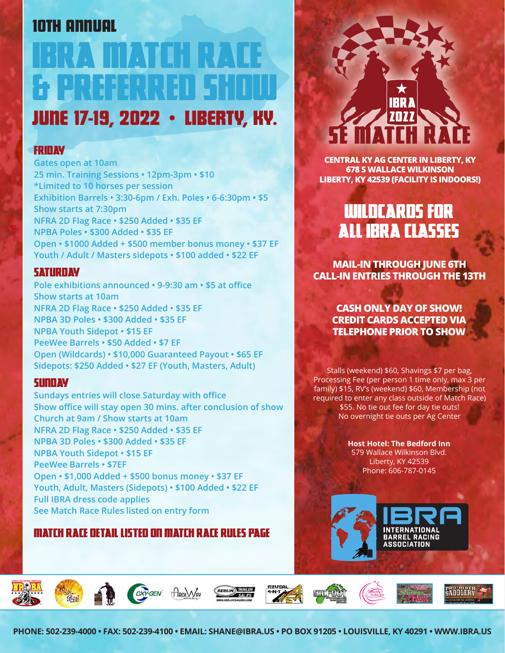## 10TH ANNUAL

# RVA MATCH RAC & PREFERRED SHOW JUNE 17-19, 2022 • LIBERTY, KY.

### **FRIDAY**

**Gates open at 10am 25 min. Training Sessions • 12pm-3pm • \$10 \*Limited to 10 horses per session Exhibition Barrels • 3:30-6pm / Exh. Poles • 6-6:30pm • \$5 Show starts at 7:30pm NFRA 2D Flag Race • \$250 Added • \$35 EF NPBA Poles • \$300 Added • \$35 EF Open • \$1000 Added + \$500 member bonus money • \$37 EF Youth / Adult / Masters sidepots • \$100 added • \$22 EF**

### **SATURDAY**

**Pole exhibitions announced • 9-9:30 am • \$5 at office Show starts at 10am NFRA 2D Flag Race • \$250 Added • \$35 EF NPBA 3D Poles • \$300 Added • \$35 EF NPBA Youth Sidepot • \$15 EF PeeWee Barrels • \$50 Added • \$7 EF Open (Wildcards) • \$10,000 Guaranteed Payout • \$65 EF Sidepots: \$250 Added • \$27 EF (Youth, Masters, Adult)**

### **SUNDAY**

**Sundays entries will close Saturday with office Show office will stay open 30 mins. after conclusion of show Church at 9am / Show starts at 10am NFRA 2D Flag Race • \$250 Added • \$35 EF NPBA 3D Poles • \$300 Added • \$35 EF NPBA Youth Sidepot • \$15 EF PeeWee Barrels • \$7EF Open • \$1,000 Added + \$500 bonus money • \$37 EF Youth, Adult, Masters (Sidepots) • \$100 Added • \$22 EF Full IBRA dress code applies See Match Race Rules listed on entry form**

### match race detail listed on Match Race Rules page

## SE MATCH RACE IBRA <u> 2022</u>

**CENTRAL KY AG CENTER IN LIBERTY, KY 678 S WALLACE WILKINSON LIBERTY, KY 42539 (FACILITY IS INDOORS!)**

## Wildcards for ALL IBRA classes

**MAIL-IN THROUGH JUNE 6TH CALL-IN ENTRIES THROUGH THE 13TH** 

> **CASH ONLY DAY OF SHOW! CREDIT CARDS ACCEPTED VIA TELEPHONE PRIOR TO SHOW**

Stalls (weekend) \$60, Shavings \$7 per bag, Processing Fee (per person 1 time only, max 3 per family) \$15, RV's (weekend) \$60, Membership (not required to enter any class outside of Match Race) \$55. No tie out fee for day tie outs! No overnight tie outs per Ag Center

> **Host Hotel: The Bedford Inn** 579 Wallace Wilkinson Blvd. Liberty, KY 42539 Phone: 606-787-0145

















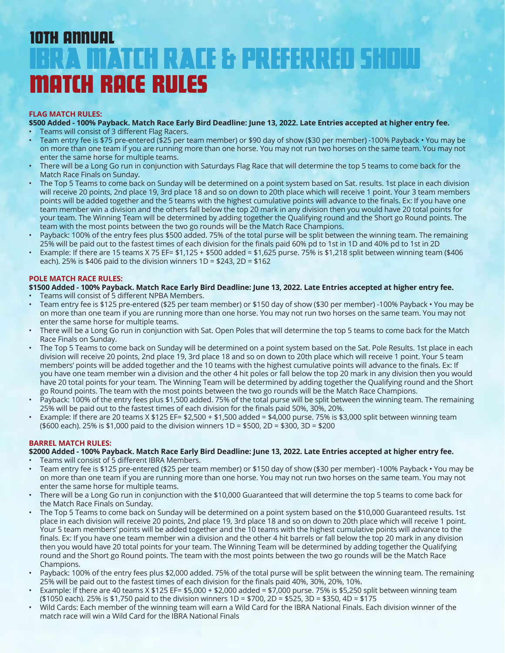## IBRA MATCH RACE & PREFERRED SHOW MATCH RACE RULES 10TH ANNUAL

#### **FLAG MATCH RULES:**

**\$500 Added - 100% Payback. Match Race Early Bird Deadline: June 13, 2022. Late Entries accepted at higher entry fee.**

- • Teams will consist of 3 different Flag Racers.
- • Team entry fee is \$75 pre-entered (\$25 per team member) or \$90 day of show (\$30 per member) -100% Payback You may be on more than one team if you are running more than one horse. You may not run two horses on the same team. You may not enter the same horse for multiple teams.
- There will be a Long Go run in conjunction with Saturdays Flag Race that will determine the top 5 teams to come back for the Match Race Finals on Sunday.
- The Top 5 Teams to come back on Sunday will be determined on a point system based on Sat. results. 1st place in each division will receive 20 points, 2nd place 19, 3rd place 18 and so on down to 20th place which will receive 1 point. Your 3 team members points will be added together and the 5 teams with the highest cumulative points will advance to the finals. Ex: If you have one team member win a division and the others fall below the top 20 mark in any division then you would have 20 total points for your team. The Winning Team will be determined by adding together the Qualifying round and the Short go Round points. The team with the most points between the two go rounds will be the Match Race Champions.
- Payback: 100% of the entry fees plus \$500 added. 75% of the total purse will be split between the winning team. The remaining 25% will be paid out to the fastest times of each division for the finals paid 60% pd to 1st in 1D and 40% pd to 1st in 2D
- Example: If there are 15 teams X 75 EF= \$1,125 + \$500 added = \$1,625 purse. 75% is \$1,218 split between winning team (\$406 each). 25% is  $$406$  paid to the division winners  $1D = $243$ ,  $2D = $162$

#### **POLE MATCH RACE RULES:**

#### **\$1500 Added - 100% Payback. Match Race Early Bird Deadline: June 13, 2022. Late Entries accepted at higher entry fee.**

- Teams will consist of 5 different NPBA Members.
- Team entry fee is \$125 pre-entered (\$25 per team member) or \$150 day of show (\$30 per member) -100% Payback You may be on more than one team if you are running more than one horse. You may not run two horses on the same team. You may not enter the same horse for multiple teams.
- There will be a Long Go run in conjunction with Sat. Open Poles that will determine the top 5 teams to come back for the Match Race Finals on Sunday.
- The Top 5 Teams to come back on Sunday will be determined on a point system based on the Sat. Pole Results. 1st place in each division will receive 20 points, 2nd place 19, 3rd place 18 and so on down to 20th place which will receive 1 point. Your 5 team members' points will be added together and the 10 teams with the highest cumulative points will advance to the finals. Ex: If you have one team member win a division and the other 4 hit poles or fall below the top 20 mark in any division then you would have 20 total points for your team. The Winning Team will be determined by adding together the Qualifying round and the Short go Round points. The team with the most points between the two go rounds will be the Match Race Champions.
- Payback: 100% of the entry fees plus \$1,500 added. 75% of the total purse will be split between the winning team. The remaining 25% will be paid out to the fastest times of each division for the finals paid 50%, 30%, 20%.
- Example: If there are 20 teams  $X $125$  EF=  $$2,500 + $1,500$  added =  $$4,000$  purse. 75% is \$3,000 split between winning team (\$600 each). 25% is \$1,000 paid to the division winners 1D = \$500, 2D = \$300, 3D = \$200

#### **BARREL MATCH RULES:**

#### **\$2000 Added - 100% Payback. Match Race Early Bird Deadline: June 13, 2022. Late Entries accepted at higher entry fee.**

- Teams will consist of 5 different IBRA Members.
- Team entry fee is \$125 pre-entered (\$25 per team member) or \$150 day of show (\$30 per member) -100% Payback You may be on more than one team if you are running more than one horse. You may not run two horses on the same team. You may not enter the same horse for multiple teams.
- There will be a Long Go run in conjunction with the \$10,000 Guaranteed that will determine the top 5 teams to come back for the Match Race Finals on Sunday.
- The Top 5 Teams to come back on Sunday will be determined on a point system based on the \$10,000 Guaranteed results. 1st place in each division will receive 20 points, 2nd place 19, 3rd place 18 and so on down to 20th place which will receive 1 point. Your 5 team members' points will be added together and the 10 teams with the highest cumulative points will advance to the finals. Ex: If you have one team member win a division and the other 4 hit barrels or fall below the top 20 mark in any division then you would have 20 total points for your team. The Winning Team will be determined by adding together the Qualifying round and the Short go Round points. The team with the most points between the two go rounds will be the Match Race Champions.
- Payback: 100% of the entry fees plus \$2,000 added. 75% of the total purse will be split between the winning team. The remaining 25% will be paid out to the fastest times of each division for the finals paid 40%, 30%, 20%, 10%.
- Example: If there are 40 teams  $X $125$  EF=  $$5,000 + $2,000$  added =  $$7,000$  purse. 75% is \$5,250 split between winning team (\$1050 each). 25% is \$1,750 paid to the division winners 1D = \$700, 2D = \$525, 3D = \$350, 4D = \$175
- Wild Cards: Each member of the winning team will earn a Wild Card for the IBRA National Finals. Each division winner of the match race will win a Wild Card for the IBRA National Finals